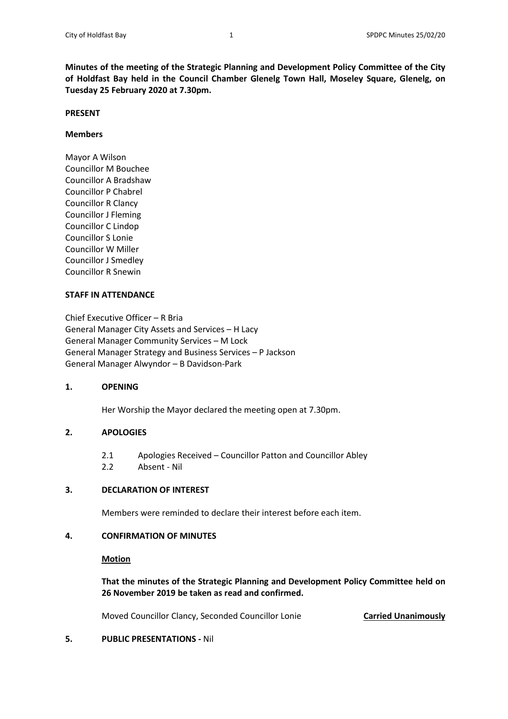**Minutes of the meeting of the Strategic Planning and Development Policy Committee of the City of Holdfast Bay held in the Council Chamber Glenelg Town Hall, Moseley Square, Glenelg, on Tuesday 25 February 2020 at 7.30pm.**

#### **PRESENT**

#### **Members**

Mayor A Wilson Councillor M Bouchee Councillor A Bradshaw Councillor P Chabrel Councillor R Clancy Councillor J Fleming Councillor C Lindop Councillor S Lonie Councillor W Miller Councillor J Smedley Councillor R Snewin

## **STAFF IN ATTENDANCE**

Chief Executive Officer – R Bria General Manager City Assets and Services – H Lacy General Manager Community Services – M Lock General Manager Strategy and Business Services – P Jackson General Manager Alwyndor – B Davidson-Park

## **1. OPENING**

Her Worship the Mayor declared the meeting open at 7.30pm.

## **2. APOLOGIES**

- 2.1 Apologies Received Councillor Patton and Councillor Abley
- 2.2 Absent Nil

## **3. DECLARATION OF INTEREST**

Members were reminded to declare their interest before each item.

## **4. CONFIRMATION OF MINUTES**

#### **Motion**

**That the minutes of the Strategic Planning and Development Policy Committee held on 26 November 2019 be taken as read and confirmed.**

Moved Councillor Clancy, Seconded Councillor Lonie **Carried Unanimously**

## **5. PUBLIC PRESENTATIONS -** Nil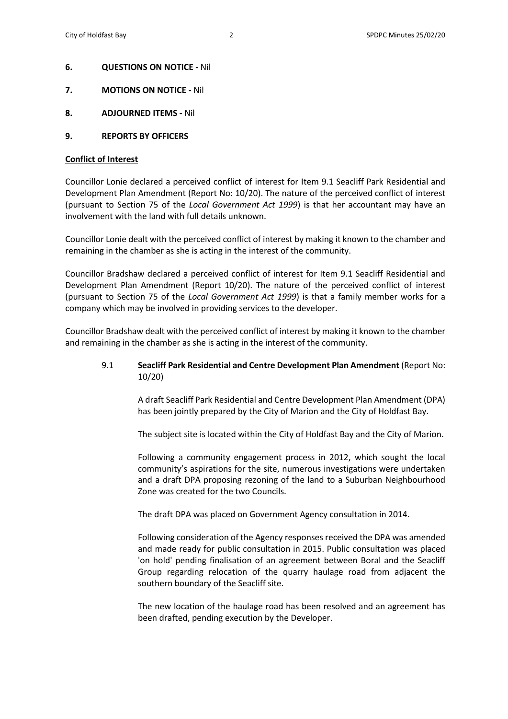- **6. QUESTIONS ON NOTICE -** Nil
- **7. MOTIONS ON NOTICE -** Nil
- **8. ADJOURNED ITEMS -** Nil
- **9. REPORTS BY OFFICERS**

## **Conflict of Interest**

Councillor Lonie declared a perceived conflict of interest for Item 9.1 Seacliff Park Residential and Development Plan Amendment (Report No: 10/20). The nature of the perceived conflict of interest (pursuant to Section 75 of the *Local Government Act 1999*) is that her accountant may have an involvement with the land with full details unknown.

Councillor Lonie dealt with the perceived conflict of interest by making it known to the chamber and remaining in the chamber as she is acting in the interest of the community.

Councillor Bradshaw declared a perceived conflict of interest for Item 9.1 Seacliff Residential and Development Plan Amendment (Report 10/20). The nature of the perceived conflict of interest (pursuant to Section 75 of the *Local Government Act 1999*) is that a family member works for a company which may be involved in providing services to the developer.

Councillor Bradshaw dealt with the perceived conflict of interest by making it known to the chamber and remaining in the chamber as she is acting in the interest of the community.

## 9.1 **Seacliff Park Residential and Centre Development Plan Amendment** (Report No: 10/20)

A draft Seacliff Park Residential and Centre Development Plan Amendment (DPA) has been jointly prepared by the City of Marion and the City of Holdfast Bay.

The subject site is located within the City of Holdfast Bay and the City of Marion.

Following a community engagement process in 2012, which sought the local community's aspirations for the site, numerous investigations were undertaken and a draft DPA proposing rezoning of the land to a Suburban Neighbourhood Zone was created for the two Councils.

The draft DPA was placed on Government Agency consultation in 2014.

Following consideration of the Agency responses received the DPA was amended and made ready for public consultation in 2015. Public consultation was placed 'on hold' pending finalisation of an agreement between Boral and the Seacliff Group regarding relocation of the quarry haulage road from adjacent the southern boundary of the Seacliff site.

The new location of the haulage road has been resolved and an agreement has been drafted, pending execution by the Developer.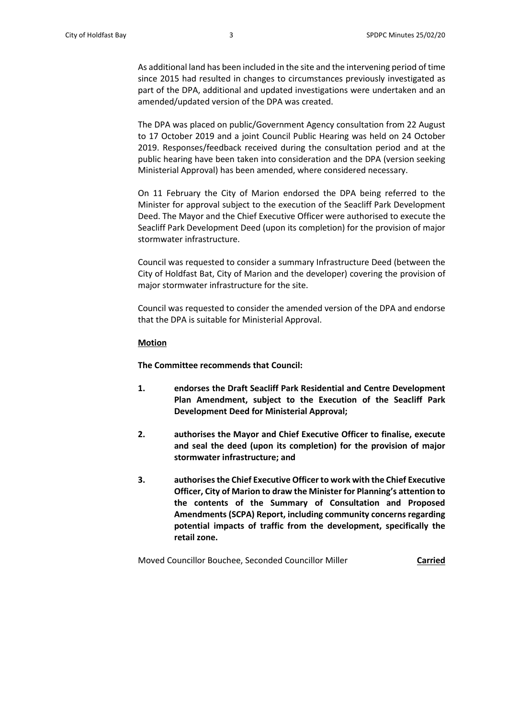As additional land has been included in the site and the intervening period of time since 2015 had resulted in changes to circumstances previously investigated as part of the DPA, additional and updated investigations were undertaken and an amended/updated version of the DPA was created.

The DPA was placed on public/Government Agency consultation from 22 August to 17 October 2019 and a joint Council Public Hearing was held on 24 October 2019. Responses/feedback received during the consultation period and at the public hearing have been taken into consideration and the DPA (version seeking Ministerial Approval) has been amended, where considered necessary.

On 11 February the City of Marion endorsed the DPA being referred to the Minister for approval subject to the execution of the Seacliff Park Development Deed. The Mayor and the Chief Executive Officer were authorised to execute the Seacliff Park Development Deed (upon its completion) for the provision of major stormwater infrastructure.

Council was requested to consider a summary Infrastructure Deed (between the City of Holdfast Bat, City of Marion and the developer) covering the provision of major stormwater infrastructure for the site.

Council was requested to consider the amended version of the DPA and endorse that the DPA is suitable for Ministerial Approval.

#### **Motion**

**The Committee recommends that Council:**

- **1. endorses the Draft Seacliff Park Residential and Centre Development Plan Amendment, subject to the Execution of the Seacliff Park Development Deed for Ministerial Approval;**
- **2. authorises the Mayor and Chief Executive Officer to finalise, execute and seal the deed (upon its completion) for the provision of major stormwater infrastructure; and**
- **3. authorises the Chief Executive Officer to work with the Chief Executive Officer, City of Marion to draw the Minister for Planning's attention to the contents of the Summary of Consultation and Proposed Amendments (SCPA) Report, including community concerns regarding potential impacts of traffic from the development, specifically the retail zone.**

Moved Councillor Bouchee, Seconded Councillor Miller **Carried**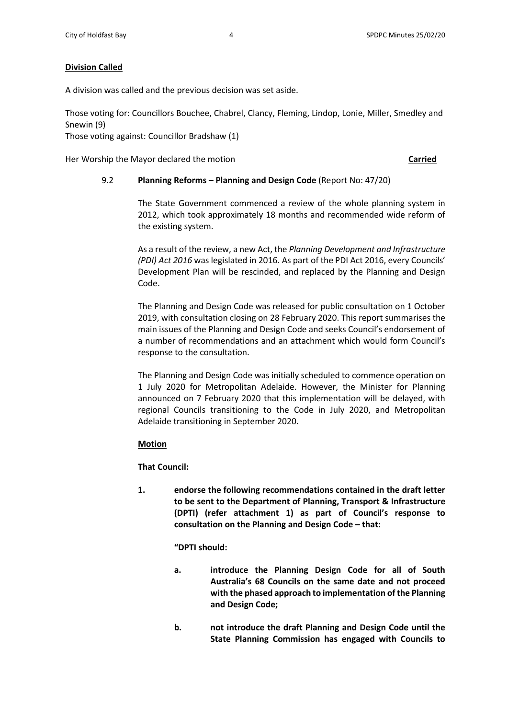## **Division Called**

A division was called and the previous decision was set aside.

Those voting for: Councillors Bouchee, Chabrel, Clancy, Fleming, Lindop, Lonie, Miller, Smedley and Snewin (9)

Those voting against: Councillor Bradshaw (1)

Her Worship the Mayor declared the motion **Carried**

## 9.2 **Planning Reforms – Planning and Design Code** (Report No: 47/20)

The State Government commenced a review of the whole planning system in 2012, which took approximately 18 months and recommended wide reform of the existing system.

As a result of the review, a new Act, the *Planning Development and Infrastructure (PDI) Act 2016* was legislated in 2016. As part of the PDI Act 2016, every Councils' Development Plan will be rescinded, and replaced by the Planning and Design Code.

The Planning and Design Code was released for public consultation on 1 October 2019, with consultation closing on 28 February 2020. This report summarises the main issues of the Planning and Design Code and seeks Council's endorsement of a number of recommendations and an attachment which would form Council's response to the consultation.

The Planning and Design Code was initially scheduled to commence operation on 1 July 2020 for Metropolitan Adelaide. However, the Minister for Planning announced on 7 February 2020 that this implementation will be delayed, with regional Councils transitioning to the Code in July 2020, and Metropolitan Adelaide transitioning in September 2020.

## **Motion**

**That Council:**

**1. endorse the following recommendations contained in the draft letter to be sent to the Department of Planning, Transport & Infrastructure (DPTI) (refer attachment 1) as part of Council's response to consultation on the Planning and Design Code – that:**

**"DPTI should:**

- **a. introduce the Planning Design Code for all of South Australia's 68 Councils on the same date and not proceed with the phased approach to implementation of the Planning and Design Code;**
- **b. not introduce the draft Planning and Design Code until the State Planning Commission has engaged with Councils to**